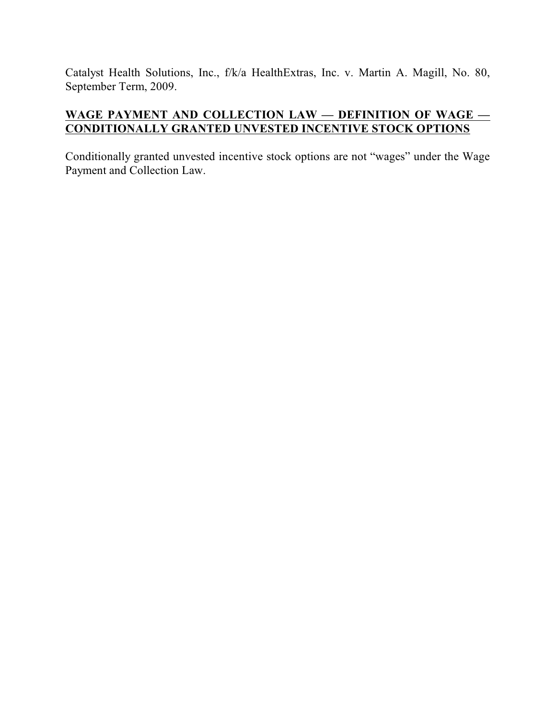Catalyst Health Solutions, Inc., f/k/a HealthExtras, Inc. v. Martin A. Magill, No. 80, September Term, 2009.

# **WAGE PAYMENT AND COLLECTION LAW — DEFINITION OF WAGE — CONDITIONALLY GRANTED UNVESTED INCENTIVE STOCK OPTIONS**

Conditionally granted unvested incentive stock options are not "wages" under the Wage Payment and Collection Law.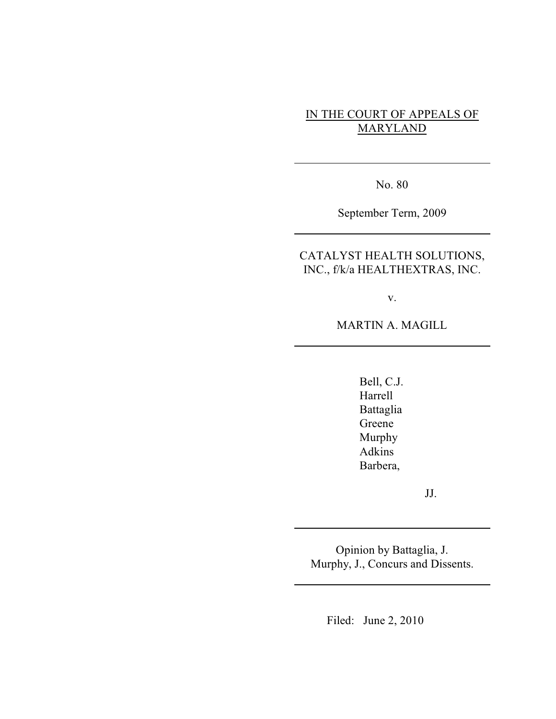# IN THE COURT OF APPEALS OF MARYLAND

No. 80

September Term, 2009

CATALYST HEALTH SOLUTIONS, INC., f/k/a HEALTHEXTRAS, INC.

v.

MARTIN A. MAGILL

Bell, C.J. Harrell Battaglia Greene Murphy Adkins Barbera,

JJ.

Opinion by Battaglia, J. Murphy, J., Concurs and Dissents.

Filed: June 2, 2010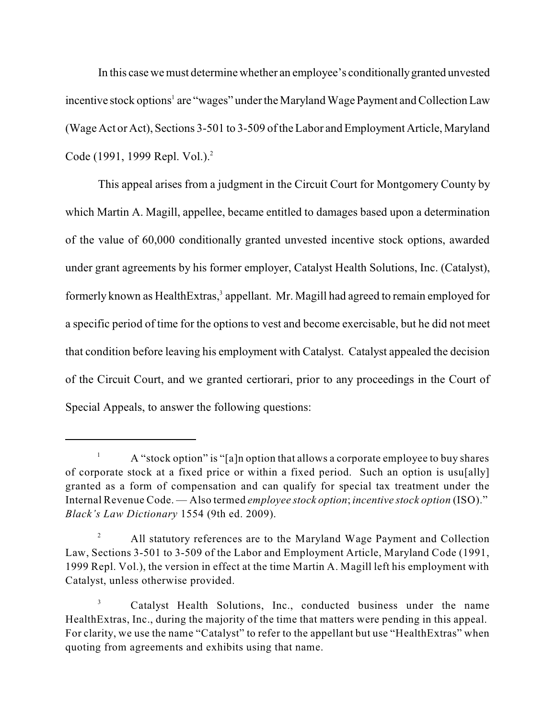In this case we must determine whether an employee's conditionallygranted unvested incentive stock options<sup>1</sup> are "wages" under the Maryland Wage Payment and Collection Law (Wage Act or Act), Sections 3-501 to 3-509 ofthe Labor and Employment Article, Maryland Code (1991, 1999 Repl. Vol.).<sup>2</sup>

This appeal arises from a judgment in the Circuit Court for Montgomery County by which Martin A. Magill, appellee, became entitled to damages based upon a determination of the value of 60,000 conditionally granted unvested incentive stock options, awarded under grant agreements by his former employer, Catalyst Health Solutions, Inc. (Catalyst), formerly known as HealthExtras,<sup>3</sup> appellant. Mr. Magill had agreed to remain employed for a specific period of time for the options to vest and become exercisable, but he did not meet that condition before leaving his employment with Catalyst. Catalyst appealed the decision of the Circuit Court, and we granted certiorari, prior to any proceedings in the Court of Special Appeals, to answer the following questions:

A "stock option" is "[a]n option that allows a corporate employee to buy shares 1 of corporate stock at a fixed price or within a fixed period. Such an option is usu[ally] granted as a form of compensation and can qualify for special tax treatment under the Internal Revenue Code. — Also termed *employee stock option*; *incentive stock option* (ISO)." *Black's Law Dictionary* 1554 (9th ed. 2009).

All statutory references are to the Maryland Wage Payment and Collection 2 Law, Sections 3-501 to 3-509 of the Labor and Employment Article, Maryland Code (1991, 1999 Repl. Vol.), the version in effect at the time Martin A. Magill left his employment with Catalyst, unless otherwise provided.

Catalyst Health Solutions, Inc., conducted business under the name 3 HealthExtras, Inc., during the majority of the time that matters were pending in this appeal. For clarity, we use the name "Catalyst" to refer to the appellant but use "HealthExtras" when quoting from agreements and exhibits using that name.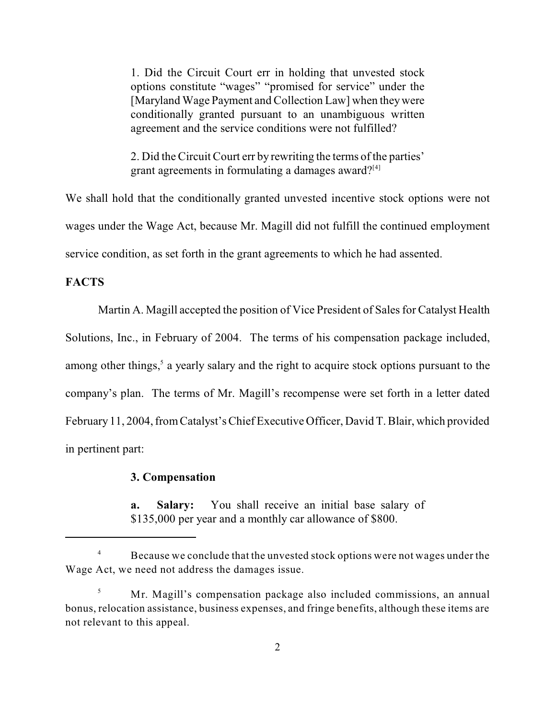1. Did the Circuit Court err in holding that unvested stock options constitute "wages" "promised for service" under the [Maryland Wage Payment and Collection Law] when they were conditionally granted pursuant to an unambiguous written agreement and the service conditions were not fulfilled?

2. Did the Circuit Court err by rewriting the terms of the parties' grant agreements in formulating a damages award?<sup>[4]</sup>

We shall hold that the conditionally granted unvested incentive stock options were not wages under the Wage Act, because Mr. Magill did not fulfill the continued employment service condition, as set forth in the grant agreements to which he had assented.

#### **FACTS**

Martin A. Magill accepted the position of Vice President of Sales for Catalyst Health Solutions, Inc., in February of 2004. The terms of his compensation package included, among other things,<sup>5</sup> a yearly salary and the right to acquire stock options pursuant to the company's plan. The terms of Mr. Magill's recompense were set forth in a letter dated February 11, 2004, fromCatalyst's Chief Executive Officer, David T. Blair, which provided in pertinent part:

#### **3. Compensation**

**a. Salary:** You shall receive an initial base salary of \$135,000 per year and a monthly car allowance of \$800.

Because we conclude that the unvested stock options were not wages under the 4 Wage Act, we need not address the damages issue.

Mr. Magill's compensation package also included commissions, an annual 5 bonus, relocation assistance, business expenses, and fringe benefits, although these items are not relevant to this appeal.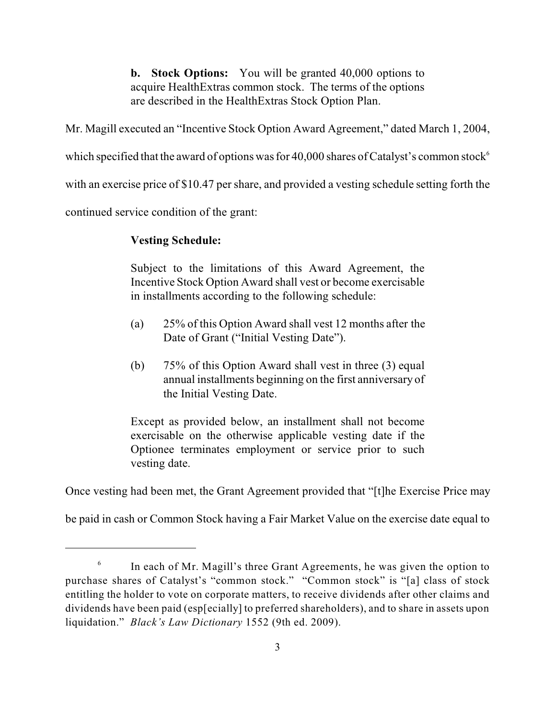**b. Stock Options:** You will be granted 40,000 options to acquire HealthExtras common stock. The terms of the options are described in the HealthExtras Stock Option Plan.

Mr. Magill executed an "Incentive Stock Option Award Agreement," dated March 1, 2004,

which specified that the award of options was for 40,000 shares of Catalyst's common stock<sup>6</sup>

with an exercise price of \$10.47 per share, and provided a vesting schedule setting forth the

continued service condition of the grant:

# **Vesting Schedule:**

Subject to the limitations of this Award Agreement, the Incentive Stock Option Award shall vest or become exercisable in installments according to the following schedule:

- (a) 25% of this Option Award shall vest 12 months after the Date of Grant ("Initial Vesting Date").
- (b) 75% of this Option Award shall vest in three (3) equal annual installments beginning on the first anniversary of the Initial Vesting Date.

Except as provided below, an installment shall not become exercisable on the otherwise applicable vesting date if the Optionee terminates employment or service prior to such vesting date.

Once vesting had been met, the Grant Agreement provided that "[t]he Exercise Price may

be paid in cash or Common Stock having a Fair Market Value on the exercise date equal to

In each of Mr. Magill's three Grant Agreements, he was given the option to 6 purchase shares of Catalyst's "common stock." "Common stock" is "[a] class of stock entitling the holder to vote on corporate matters, to receive dividends after other claims and dividends have been paid (esp[ecially] to preferred shareholders), and to share in assets upon liquidation." *Black's Law Dictionary* 1552 (9th ed. 2009).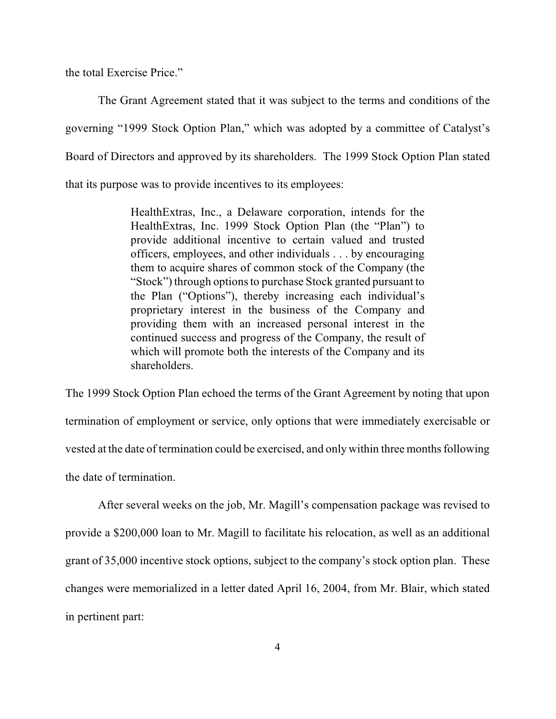the total Exercise Price."

The Grant Agreement stated that it was subject to the terms and conditions of the governing "1999 Stock Option Plan," which was adopted by a committee of Catalyst's Board of Directors and approved by its shareholders. The 1999 Stock Option Plan stated that its purpose was to provide incentives to its employees:

> HealthExtras, Inc., a Delaware corporation, intends for the HealthExtras, Inc. 1999 Stock Option Plan (the "Plan") to provide additional incentive to certain valued and trusted officers, employees, and other individuals . . . by encouraging them to acquire shares of common stock of the Company (the "Stock") through options to purchase Stock granted pursuant to the Plan ("Options"), thereby increasing each individual's proprietary interest in the business of the Company and providing them with an increased personal interest in the continued success and progress of the Company, the result of which will promote both the interests of the Company and its shareholders.

The 1999 Stock Option Plan echoed the terms of the Grant Agreement by noting that upon termination of employment or service, only options that were immediately exercisable or vested at the date of termination could be exercised, and only within three months following the date of termination.

After several weeks on the job, Mr. Magill's compensation package was revised to provide a \$200,000 loan to Mr. Magill to facilitate his relocation, as well as an additional grant of 35,000 incentive stock options, subject to the company's stock option plan. These changes were memorialized in a letter dated April 16, 2004, from Mr. Blair, which stated in pertinent part: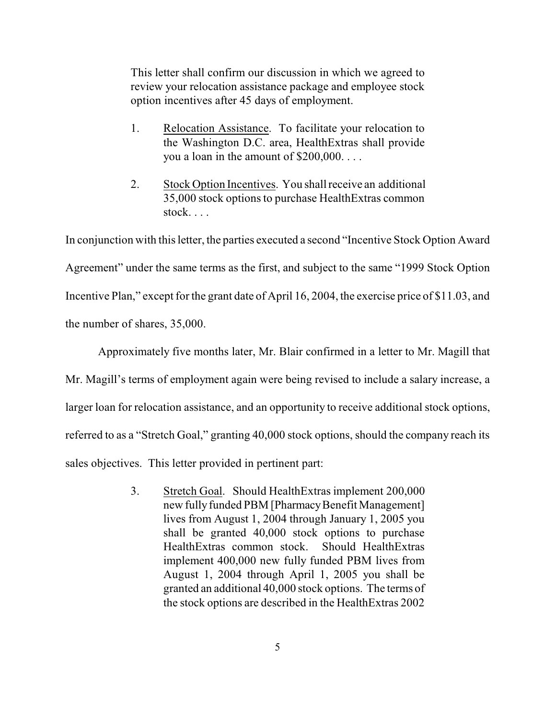This letter shall confirm our discussion in which we agreed to review your relocation assistance package and employee stock option incentives after 45 days of employment.

- 1. Relocation Assistance. To facilitate your relocation to the Washington D.C. area, HealthExtras shall provide you a loan in the amount of \$200,000. . . .
- 2. Stock Option Incentives. You shall receive an additional 35,000 stock options to purchase HealthExtras common stock. . . .

In conjunction with this letter, the parties executed a second "Incentive Stock Option Award Agreement" under the same terms as the first, and subject to the same "1999 Stock Option Incentive Plan," except for the grant date of April 16, 2004, the exercise price of \$11.03, and the number of shares, 35,000.

Approximately five months later, Mr. Blair confirmed in a letter to Mr. Magill that Mr. Magill's terms of employment again were being revised to include a salary increase, a larger loan for relocation assistance, and an opportunity to receive additional stock options, referred to as a "Stretch Goal," granting 40,000 stock options, should the company reach its sales objectives. This letter provided in pertinent part:

> 3. Stretch Goal. Should HealthExtras implement 200,000 new fully funded PBM [Pharmacy Benefit Management] lives from August 1, 2004 through January 1, 2005 you shall be granted 40,000 stock options to purchase HealthExtras common stock. Should HealthExtras implement 400,000 new fully funded PBM lives from August 1, 2004 through April 1, 2005 you shall be granted an additional 40,000 stock options. The terms of the stock options are described in the HealthExtras 2002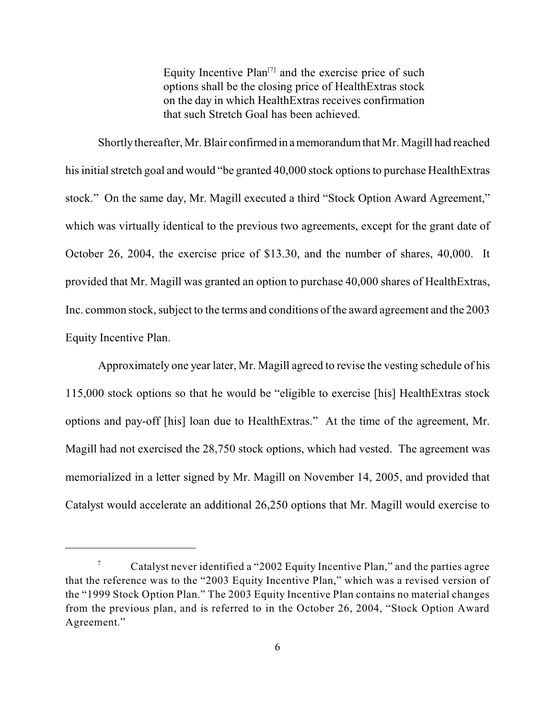Equity Incentive Plan<sup>[7]</sup> and the exercise price of such options shall be the closing price of HealthExtras stock on the day in which HealthExtras receives confirmation that such Stretch Goal has been achieved.

Shortly thereafter, Mr. Blair confirmed in a memorandum that Mr. Magill had reached his initial stretch goal and would "be granted 40,000 stock options to purchase HealthExtras stock." On the same day, Mr. Magill executed a third "Stock Option Award Agreement," which was virtually identical to the previous two agreements, except for the grant date of October 26, 2004, the exercise price of \$13.30, and the number of shares, 40,000. It provided that Mr. Magill was granted an option to purchase 40,000 shares of HealthExtras, Inc. common stock, subject to the terms and conditions of the award agreement and the 2003 Equity Incentive Plan.

Approximately one year later, Mr. Magill agreed to revise the vesting schedule of his 115,000 stock options so that he would be "eligible to exercise [his] HealthExtras stock options and pay-off [his] loan due to HealthExtras." At the time of the agreement, Mr. Magill had not exercised the 28,750 stock options, which had vested. The agreement was memorialized in a letter signed by Mr. Magill on November 14, 2005, and provided that Catalyst would accelerate an additional 26,250 options that Mr. Magill would exercise to

Catalyst never identified a "2002 Equity Incentive Plan," and the parties agree 7 that the reference was to the "2003 Equity Incentive Plan," which was a revised version of the "1999 Stock Option Plan." The 2003 Equity Incentive Plan contains no material changes from the previous plan, and is referred to in the October 26, 2004, "Stock Option Award Agreement."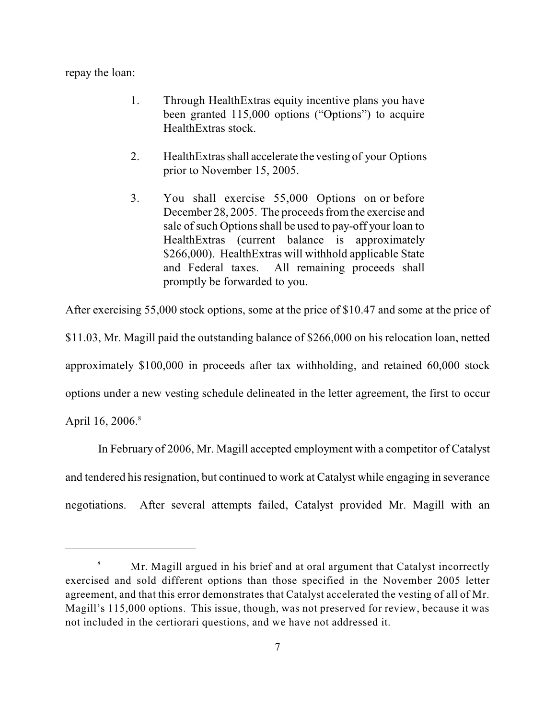repay the loan:

- 1. Through HealthExtras equity incentive plans you have been granted 115,000 options ("Options") to acquire HealthExtras stock.
- 2. HealthExtras shall accelerate the vesting of your Options prior to November 15, 2005.
- 3. You shall exercise 55,000 Options on or before December 28, 2005. The proceeds from the exercise and sale of such Options shall be used to pay-off your loan to HealthExtras (current balance is approximately \$266,000). HealthExtras will withhold applicable State and Federal taxes. All remaining proceeds shall promptly be forwarded to you.

After exercising 55,000 stock options, some at the price of \$10.47 and some at the price of

\$11.03, Mr. Magill paid the outstanding balance of \$266,000 on his relocation loan, netted approximately \$100,000 in proceeds after tax withholding, and retained 60,000 stock options under a new vesting schedule delineated in the letter agreement, the first to occur April 16, 2006.<sup>8</sup>

In February of 2006, Mr. Magill accepted employment with a competitor of Catalyst and tendered his resignation, but continued to work at Catalyst while engaging in severance negotiations. After several attempts failed, Catalyst provided Mr. Magill with an

Mr. Magill argued in his brief and at oral argument that Catalyst incorrectly 8 exercised and sold different options than those specified in the November 2005 letter agreement, and that this error demonstrates that Catalyst accelerated the vesting of all of Mr. Magill's 115,000 options. This issue, though, was not preserved for review, because it was not included in the certiorari questions, and we have not addressed it.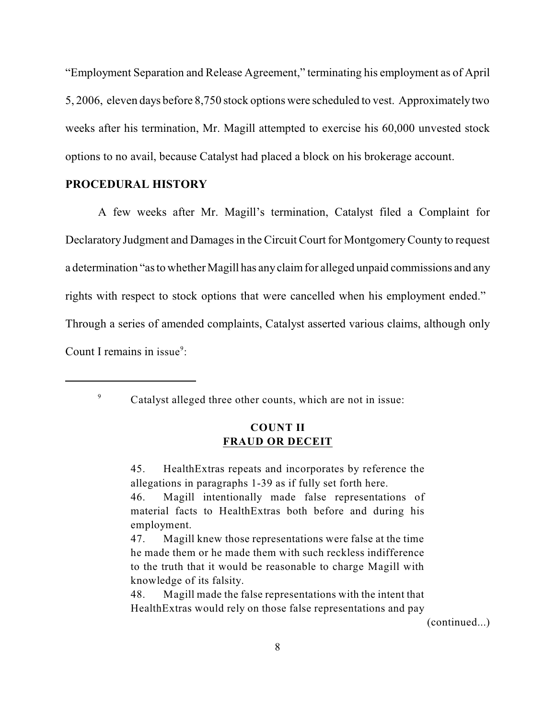"Employment Separation and Release Agreement," terminating his employment as of April 5, 2006, eleven days before 8,750 stock options were scheduled to vest. Approximately two weeks after his termination, Mr. Magill attempted to exercise his 60,000 unvested stock options to no avail, because Catalyst had placed a block on his brokerage account.

#### **PROCEDURAL HISTORY**

A few weeks after Mr. Magill's termination, Catalyst filed a Complaint for Declaratory Judgment and Damages in the Circuit Court for MontgomeryCounty to request a determination "as to whether Magill has anyclaimfor alleged unpaid commissions and any rights with respect to stock options that were cancelled when his employment ended." Through a series of amended complaints, Catalyst asserted various claims, although only Count I remains in issue<sup>9</sup>:

9

Catalyst alleged three other counts, which are not in issue:

## **COUNT II FRAUD OR DECEIT**

45. HealthExtras repeats and incorporates by reference the allegations in paragraphs 1-39 as if fully set forth here.

46. Magill intentionally made false representations of material facts to HealthExtras both before and during his employment.

47. Magill knew those representations were false at the time he made them or he made them with such reckless indifference to the truth that it would be reasonable to charge Magill with knowledge of its falsity.

48. Magill made the false representations with the intent that HealthExtras would rely on those false representations and pay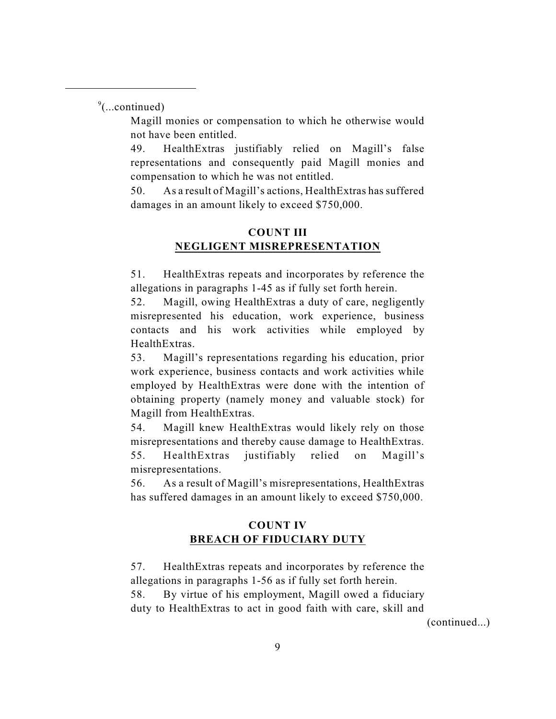$\degree$ (...continued)

Magill monies or compensation to which he otherwise would not have been entitled.

49. HealthExtras justifiably relied on Magill's false representations and consequently paid Magill monies and compensation to which he was not entitled.

50. As a result of Magill's actions, HealthExtras has suffered damages in an amount likely to exceed \$750,000.

# **COUNT III NEGLIGENT MISREPRESENTATION**

51. HealthExtras repeats and incorporates by reference the allegations in paragraphs 1-45 as if fully set forth herein.

52. Magill, owing HealthExtras a duty of care, negligently misrepresented his education, work experience, business contacts and his work activities while employed by HealthExtras.

53. Magill's representations regarding his education, prior work experience, business contacts and work activities while employed by HealthExtras were done with the intention of obtaining property (namely money and valuable stock) for Magill from HealthExtras.

54. Magill knew HealthExtras would likely rely on those misrepresentations and thereby cause damage to HealthExtras. 55. HealthExtras justifiably relied on Magill's misrepresentations.

56. As a result of Magill's misrepresentations, HealthExtras has suffered damages in an amount likely to exceed \$750,000.

# **COUNT IV BREACH OF FIDUCIARY DUTY**

57. HealthExtras repeats and incorporates by reference the allegations in paragraphs 1-56 as if fully set forth herein.

58. By virtue of his employment, Magill owed a fiduciary duty to HealthExtras to act in good faith with care, skill and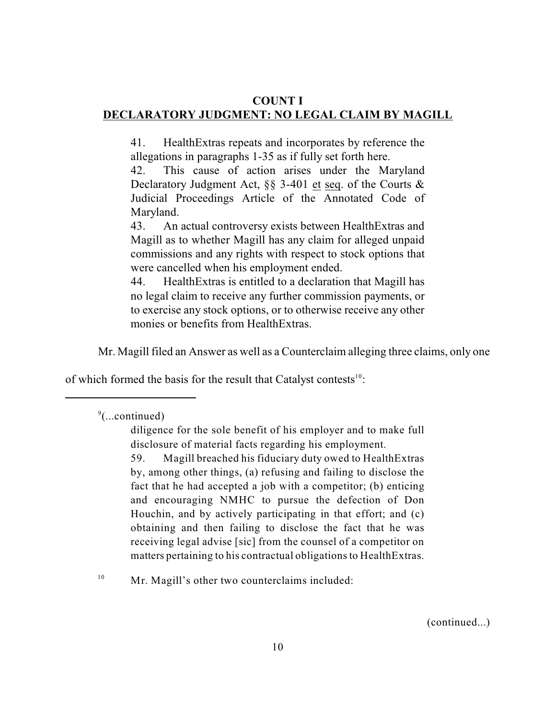#### **COUNT I DECLARATORY JUDGMENT: NO LEGAL CLAIM BY MAGILL**

41. HealthExtras repeats and incorporates by reference the allegations in paragraphs 1-35 as if fully set forth here.

42. This cause of action arises under the Maryland Declaratory Judgment Act, §§ 3-401 et seq. of the Courts & Judicial Proceedings Article of the Annotated Code of Maryland.

43. An actual controversy exists between HealthExtras and Magill as to whether Magill has any claim for alleged unpaid commissions and any rights with respect to stock options that were cancelled when his employment ended.

44. HealthExtras is entitled to a declaration that Magill has no legal claim to receive any further commission payments, or to exercise any stock options, or to otherwise receive any other monies or benefits from HealthExtras.

Mr. Magill filed an Answer as well as a Counterclaim alleging three claims, only one

of which formed the basis for the result that Catalyst contests $10$ :

Mr. Magill's other two counterclaims included: 10

 $\degree$ (...continued)

diligence for the sole benefit of his employer and to make full disclosure of material facts regarding his employment.

<sup>59.</sup> Magill breached his fiduciary duty owed to HealthExtras by, among other things, (a) refusing and failing to disclose the fact that he had accepted a job with a competitor; (b) enticing and encouraging NMHC to pursue the defection of Don Houchin, and by actively participating in that effort; and (c) obtaining and then failing to disclose the fact that he was receiving legal advise [sic] from the counsel of a competitor on matters pertaining to his contractual obligationsto HealthExtras.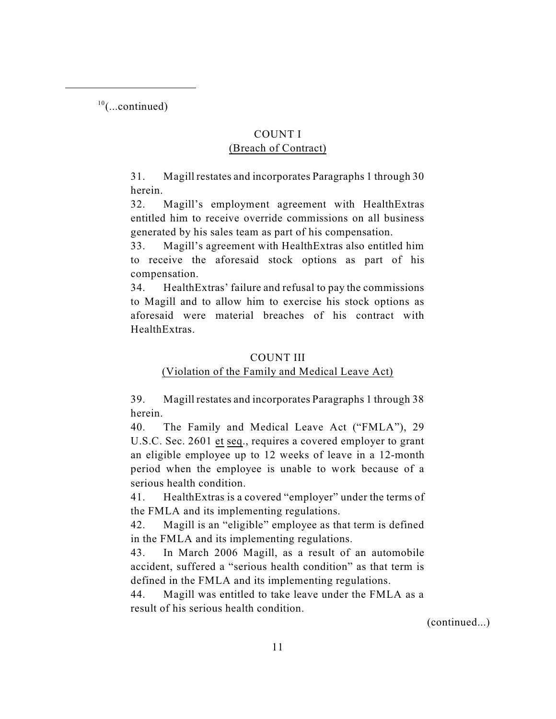$10$ (...continued)

# COUNT I

## (Breach of Contract)

31. Magill restates and incorporates Paragraphs 1 through 30 herein.

32. Magill's employment agreement with HealthExtras entitled him to receive override commissions on all business generated by his sales team as part of his compensation.

33. Magill's agreement with HealthExtras also entitled him to receive the aforesaid stock options as part of his compensation.

34. HealthExtras' failure and refusal to pay the commissions to Magill and to allow him to exercise his stock options as aforesaid were material breaches of his contract with **HealthExtras** 

# COUNT III

# (Violation of the Family and Medical Leave Act)

39. Magill restates and incorporates Paragraphs 1 through 38 herein.

40. The Family and Medical Leave Act ("FMLA"), 29 U.S.C. Sec. 2601 et seq., requires a covered employer to grant an eligible employee up to 12 weeks of leave in a 12-month period when the employee is unable to work because of a serious health condition.

41. HealthExtras is a covered "employer" under the terms of the FMLA and its implementing regulations.

42. Magill is an "eligible" employee as that term is defined in the FMLA and its implementing regulations.

43. In March 2006 Magill, as a result of an automobile accident, suffered a "serious health condition" as that term is defined in the FMLA and its implementing regulations.

44. Magill was entitled to take leave under the FMLA as a result of his serious health condition.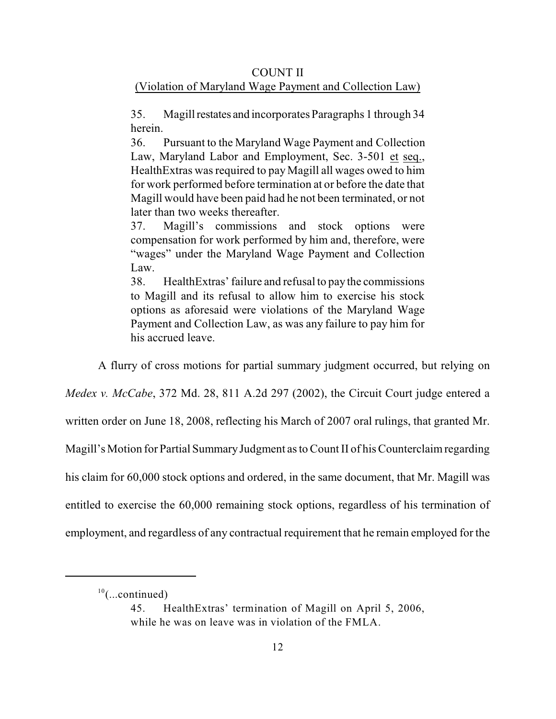## COUNT II

# (Violation of Maryland Wage Payment and Collection Law)

35. Magill restates and incorporates Paragraphs 1 through 34 herein.

36. Pursuant to the Maryland Wage Payment and Collection Law, Maryland Labor and Employment, Sec. 3-501 et seq., HealthExtras was required to pay Magill all wages owed to him for work performed before termination at or before the date that Magill would have been paid had he not been terminated, or not later than two weeks thereafter.

37. Magill's commissions and stock options were compensation for work performed by him and, therefore, were "wages" under the Maryland Wage Payment and Collection Law.

38. HealthExtras' failure and refusal to pay the commissions to Magill and its refusal to allow him to exercise his stock options as aforesaid were violations of the Maryland Wage Payment and Collection Law, as was any failure to pay him for his accrued leave.

A flurry of cross motions for partial summary judgment occurred, but relying on

*Medex v. McCabe*, 372 Md. 28, 811 A.2d 297 (2002), the Circuit Court judge entered a

written order on June 18, 2008, reflecting his March of 2007 oral rulings, that granted Mr.

Magill's Motion for Partial Summary Judgment as to Count II of his Counterclaim regarding

his claim for 60,000 stock options and ordered, in the same document, that Mr. Magill was

entitled to exercise the 60,000 remaining stock options, regardless of his termination of

employment, and regardless of any contractual requirement that he remain employed for the

 $10$ (...continued)

<sup>45.</sup> HealthExtras' termination of Magill on April 5, 2006, while he was on leave was in violation of the FMLA.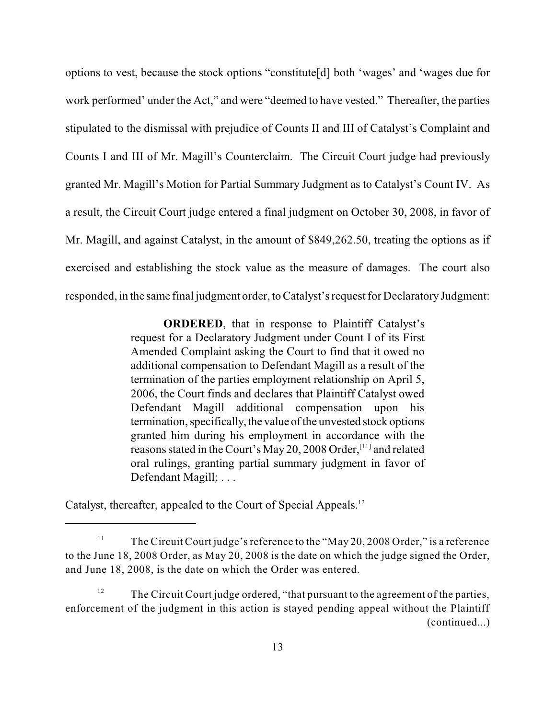options to vest, because the stock options "constitute[d] both 'wages' and 'wages due for work performed' under the Act," and were "deemed to have vested." Thereafter, the parties stipulated to the dismissal with prejudice of Counts II and III of Catalyst's Complaint and Counts I and III of Mr. Magill's Counterclaim. The Circuit Court judge had previously granted Mr. Magill's Motion for Partial Summary Judgment as to Catalyst's Count IV. As a result, the Circuit Court judge entered a final judgment on October 30, 2008, in favor of Mr. Magill, and against Catalyst, in the amount of \$849,262.50, treating the options as if exercised and establishing the stock value as the measure of damages. The court also responded, in the same final judgment order, to Catalyst's request for Declaratory Judgment:

> **ORDERED**, that in response to Plaintiff Catalyst's request for a Declaratory Judgment under Count I of its First Amended Complaint asking the Court to find that it owed no additional compensation to Defendant Magill as a result of the termination of the parties employment relationship on April 5, 2006, the Court finds and declares that Plaintiff Catalyst owed Defendant Magill additional compensation upon his termination, specifically, the value of the unvested stock options granted him during his employment in accordance with the reasons stated in the Court's May 20, 2008 Order,  $[11]$  and related oral rulings, granting partial summary judgment in favor of Defendant Magill; . . .

Catalyst, thereafter, appealed to the Court of Special Appeals.<sup>12</sup>

The Circuit Court judge'sreference to the "May 20, 2008 Order," is a reference 11 to the June 18, 2008 Order, as May 20, 2008 is the date on which the judge signed the Order, and June 18, 2008, is the date on which the Order was entered.

The Circuit Court judge ordered, "that pursuant to the agreement of the parties, 12 enforcement of the judgment in this action is stayed pending appeal without the Plaintiff (continued...)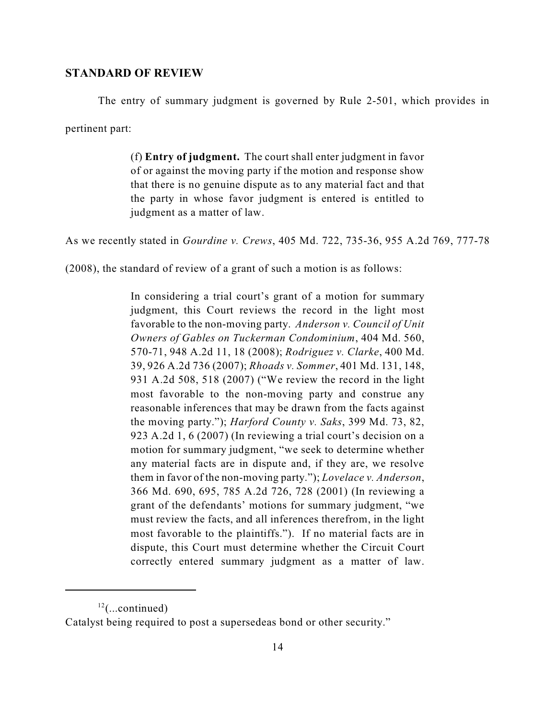#### **STANDARD OF REVIEW**

The entry of summary judgment is governed by Rule 2-501, which provides in pertinent part:

> (f) **Entry of judgment.** The court shall enter judgment in favor of or against the moving party if the motion and response show that there is no genuine dispute as to any material fact and that the party in whose favor judgment is entered is entitled to judgment as a matter of law.

As we recently stated in *Gourdine v. Crews*, 405 Md. 722, 735-36, 955 A.2d 769, 777-78

(2008), the standard of review of a grant of such a motion is as follows:

In considering a trial court's grant of a motion for summary judgment, this Court reviews the record in the light most favorable to the non-moving party. *Anderson v. Council of Unit Owners of Gables on Tuckerman Condominium*, 404 Md. 560, 570-71, 948 A.2d 11, 18 (2008); *Rodriguez v. Clarke*, 400 Md. 39, 926 A.2d 736 (2007); *Rhoads v. Sommer*, 401 Md. 131, 148, 931 A.2d 508, 518 (2007) ("We review the record in the light most favorable to the non-moving party and construe any reasonable inferences that may be drawn from the facts against the moving party."); *Harford County v. Saks*, 399 Md. 73, 82, 923 A.2d 1, 6 (2007) (In reviewing a trial court's decision on a motion for summary judgment, "we seek to determine whether any material facts are in dispute and, if they are, we resolve them in favor of the non-moving party."); *Lovelace v. Anderson*, 366 Md. 690, 695, 785 A.2d 726, 728 (2001) (In reviewing a grant of the defendants' motions for summary judgment, "we must review the facts, and all inferences therefrom, in the light most favorable to the plaintiffs."). If no material facts are in dispute, this Court must determine whether the Circuit Court correctly entered summary judgment as a matter of law.

 $12$ (...continued)

Catalyst being required to post a supersedeas bond or other security."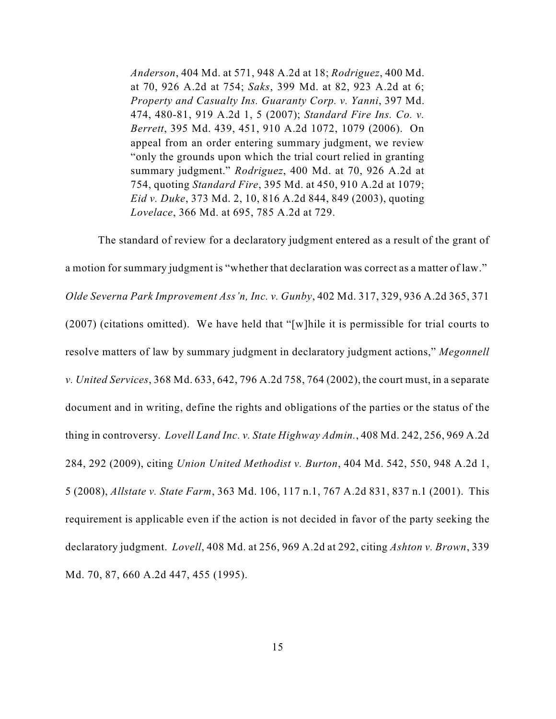*Anderson*, 404 Md. at 571, 948 A.2d at 18; *Rodriguez*, 400 Md. at 70, 926 A.2d at 754; *Saks*, 399 Md. at 82, 923 A.2d at 6; *Property and Casualty Ins. Guaranty Corp. v. Yanni*, 397 Md. 474, 480-81, 919 A.2d 1, 5 (2007); *Standard Fire Ins. Co. v. Berrett*, 395 Md. 439, 451, 910 A.2d 1072, 1079 (2006). On appeal from an order entering summary judgment, we review "only the grounds upon which the trial court relied in granting summary judgment." *Rodriguez*, 400 Md. at 70, 926 A.2d at 754, quoting *Standard Fire*, 395 Md. at 450, 910 A.2d at 1079; *Eid v. Duke*, 373 Md. 2, 10, 816 A.2d 844, 849 (2003), quoting *Lovelace*, 366 Md. at 695, 785 A.2d at 729.

The standard of review for a declaratory judgment entered as a result of the grant of a motion for summary judgment is "whether that declaration was correct as a matter of law." *Olde Severna Park Improvement Ass'n, Inc. v. Gunby*, 402 Md. 317, 329, 936 A.2d 365, 371 (2007) (citations omitted). We have held that "[w]hile it is permissible for trial courts to resolve matters of law by summary judgment in declaratory judgment actions," *Megonnell v. United Services*, 368 Md. 633, 642, 796 A.2d 758, 764 (2002), the court must, in a separate document and in writing, define the rights and obligations of the parties or the status of the thing in controversy. *Lovell Land Inc. v. State Highway Admin.*, 408 Md. 242, 256, 969 A.2d 284, 292 (2009), citing *Union United Methodist v. Burton*, 404 Md. 542, 550, 948 A.2d 1, 5 (2008), *Allstate v. State Farm*, 363 Md. 106, 117 n.1, 767 A.2d 831, 837 n.1 (2001). This requirement is applicable even if the action is not decided in favor of the party seeking the declaratory judgment. *Lovell*, 408 Md. at 256, 969 A.2d at 292, citing *Ashton v. Brown*, 339 Md. 70, 87, 660 A.2d 447, 455 (1995).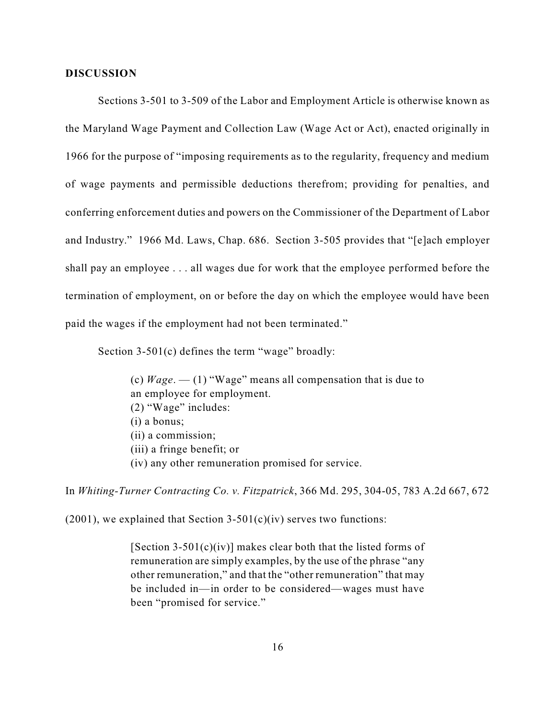#### **DISCUSSION**

Sections 3-501 to 3-509 of the Labor and Employment Article is otherwise known as the Maryland Wage Payment and Collection Law (Wage Act or Act), enacted originally in 1966 for the purpose of "imposing requirements as to the regularity, frequency and medium of wage payments and permissible deductions therefrom; providing for penalties, and conferring enforcement duties and powers on the Commissioner of the Department of Labor and Industry." 1966 Md. Laws, Chap. 686. Section 3-505 provides that "[e]ach employer shall pay an employee . . . all wages due for work that the employee performed before the termination of employment, on or before the day on which the employee would have been paid the wages if the employment had not been terminated."

Section 3-501(c) defines the term "wage" broadly:

(c) *Wage*. — (1) "Wage" means all compensation that is due to an employee for employment. (2) "Wage" includes: (i) a bonus; (ii) a commission; (iii) a fringe benefit; or (iv) any other remuneration promised for service.

In *Whiting-Turner Contracting Co. v. Fitzpatrick*, 366 Md. 295, 304-05, 783 A.2d 667, 672

 $(2001)$ , we explained that Section 3-501(c)(iv) serves two functions:

[Section 3-501(c)(iv)] makes clear both that the listed forms of remuneration are simply examples, by the use of the phrase "any other remuneration," and that the "other remuneration" that may be included in—in order to be considered—wages must have been "promised for service."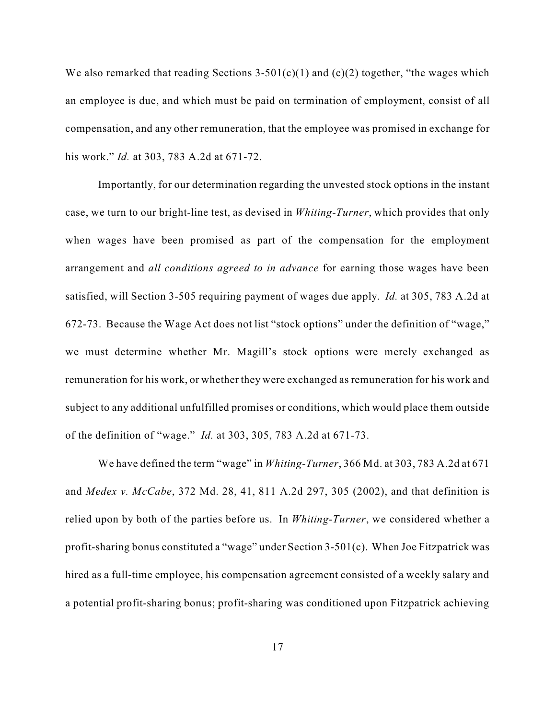We also remarked that reading Sections  $3-501(c)(1)$  and  $(c)(2)$  together, "the wages which an employee is due, and which must be paid on termination of employment, consist of all compensation, and any other remuneration, that the employee was promised in exchange for his work." *Id.* at 303, 783 A.2d at 671-72.

Importantly, for our determination regarding the unvested stock options in the instant case, we turn to our bright-line test, as devised in *Whiting-Turner*, which provides that only when wages have been promised as part of the compensation for the employment arrangement and *all conditions agreed to in advance* for earning those wages have been satisfied, will Section 3-505 requiring payment of wages due apply. *Id.* at 305, 783 A.2d at 672-73. Because the Wage Act does not list "stock options" under the definition of "wage," we must determine whether Mr. Magill's stock options were merely exchanged as remuneration for his work, or whether they were exchanged as remuneration for his work and subject to any additional unfulfilled promises or conditions, which would place them outside of the definition of "wage." *Id.* at 303, 305, 783 A.2d at 671-73.

We have defined the term "wage" in *Whiting-Turner*, 366 Md. at 303, 783 A.2d at 671 and *Medex v. McCabe*, 372 Md. 28, 41, 811 A.2d 297, 305 (2002), and that definition is relied upon by both of the parties before us. In *Whiting-Turner*, we considered whether a profit-sharing bonus constituted a "wage" under Section 3-501(c). When Joe Fitzpatrick was hired as a full-time employee, his compensation agreement consisted of a weekly salary and a potential profit-sharing bonus; profit-sharing was conditioned upon Fitzpatrick achieving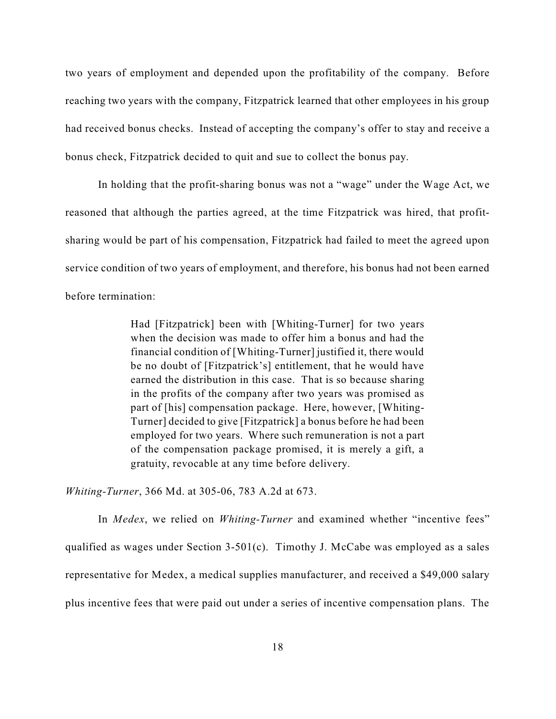two years of employment and depended upon the profitability of the company. Before reaching two years with the company, Fitzpatrick learned that other employees in his group had received bonus checks. Instead of accepting the company's offer to stay and receive a bonus check, Fitzpatrick decided to quit and sue to collect the bonus pay.

In holding that the profit-sharing bonus was not a "wage" under the Wage Act, we reasoned that although the parties agreed, at the time Fitzpatrick was hired, that profitsharing would be part of his compensation, Fitzpatrick had failed to meet the agreed upon service condition of two years of employment, and therefore, his bonus had not been earned before termination:

> Had [Fitzpatrick] been with [Whiting-Turner] for two years when the decision was made to offer him a bonus and had the financial condition of [Whiting-Turner] justified it, there would be no doubt of [Fitzpatrick's] entitlement, that he would have earned the distribution in this case. That is so because sharing in the profits of the company after two years was promised as part of [his] compensation package. Here, however, [Whiting-Turner] decided to give [Fitzpatrick] a bonus before he had been employed for two years. Where such remuneration is not a part of the compensation package promised, it is merely a gift, a gratuity, revocable at any time before delivery.

*Whiting-Turner*, 366 Md. at 305-06, 783 A.2d at 673.

In *Medex*, we relied on *Whiting-Turner* and examined whether "incentive fees" qualified as wages under Section 3-501(c). Timothy J. McCabe was employed as a sales representative for Medex, a medical supplies manufacturer, and received a \$49,000 salary plus incentive fees that were paid out under a series of incentive compensation plans. The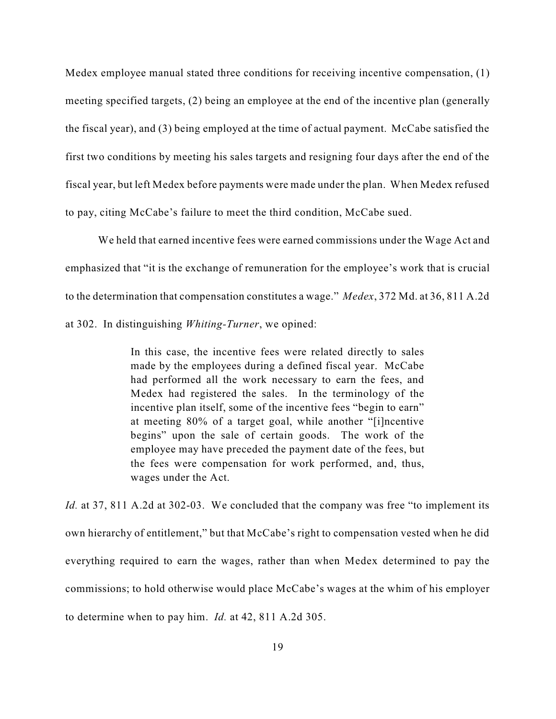Medex employee manual stated three conditions for receiving incentive compensation, (1) meeting specified targets, (2) being an employee at the end of the incentive plan (generally the fiscal year), and (3) being employed at the time of actual payment. McCabe satisfied the first two conditions by meeting his sales targets and resigning four days after the end of the fiscal year, but left Medex before payments were made under the plan. When Medex refused to pay, citing McCabe's failure to meet the third condition, McCabe sued.

We held that earned incentive fees were earned commissions under the Wage Act and emphasized that "it is the exchange of remuneration for the employee's work that is crucial to the determination that compensation constitutes a wage." *Medex*, 372 Md. at 36, 811 A.2d at 302. In distinguishing *Whiting-Turner*, we opined:

> In this case, the incentive fees were related directly to sales made by the employees during a defined fiscal year. McCabe had performed all the work necessary to earn the fees, and Medex had registered the sales. In the terminology of the incentive plan itself, some of the incentive fees "begin to earn" at meeting 80% of a target goal, while another "[i]ncentive begins" upon the sale of certain goods. The work of the employee may have preceded the payment date of the fees, but the fees were compensation for work performed, and, thus, wages under the Act.

*Id.* at 37, 811 A.2d at 302-03. We concluded that the company was free "to implement its own hierarchy of entitlement," but that McCabe's right to compensation vested when he did everything required to earn the wages, rather than when Medex determined to pay the commissions; to hold otherwise would place McCabe's wages at the whim of his employer to determine when to pay him. *Id.* at 42, 811 A.2d 305.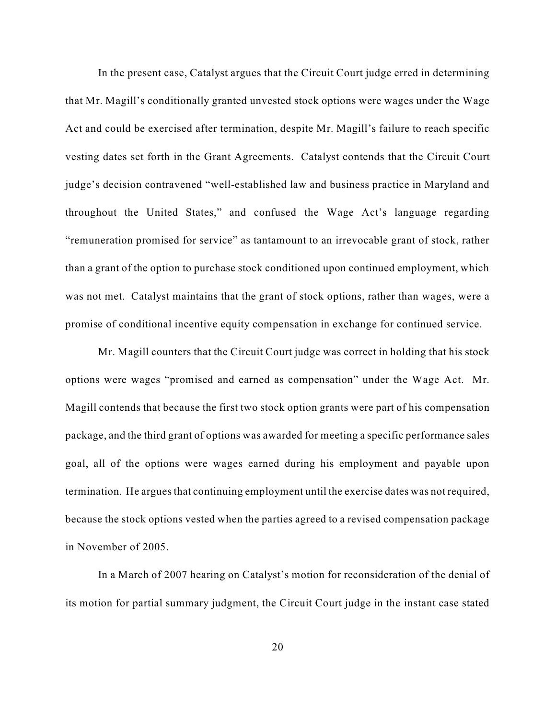In the present case, Catalyst argues that the Circuit Court judge erred in determining that Mr. Magill's conditionally granted unvested stock options were wages under the Wage Act and could be exercised after termination, despite Mr. Magill's failure to reach specific vesting dates set forth in the Grant Agreements. Catalyst contends that the Circuit Court judge's decision contravened "well-established law and business practice in Maryland and throughout the United States," and confused the Wage Act's language regarding "remuneration promised for service" as tantamount to an irrevocable grant of stock, rather than a grant of the option to purchase stock conditioned upon continued employment, which was not met. Catalyst maintains that the grant of stock options, rather than wages, were a promise of conditional incentive equity compensation in exchange for continued service.

Mr. Magill counters that the Circuit Court judge was correct in holding that his stock options were wages "promised and earned as compensation" under the Wage Act. Mr. Magill contends that because the first two stock option grants were part of his compensation package, and the third grant of options was awarded for meeting a specific performance sales goal, all of the options were wages earned during his employment and payable upon termination. He argues that continuing employment until the exercise dates was not required, because the stock options vested when the parties agreed to a revised compensation package in November of 2005.

In a March of 2007 hearing on Catalyst's motion for reconsideration of the denial of its motion for partial summary judgment, the Circuit Court judge in the instant case stated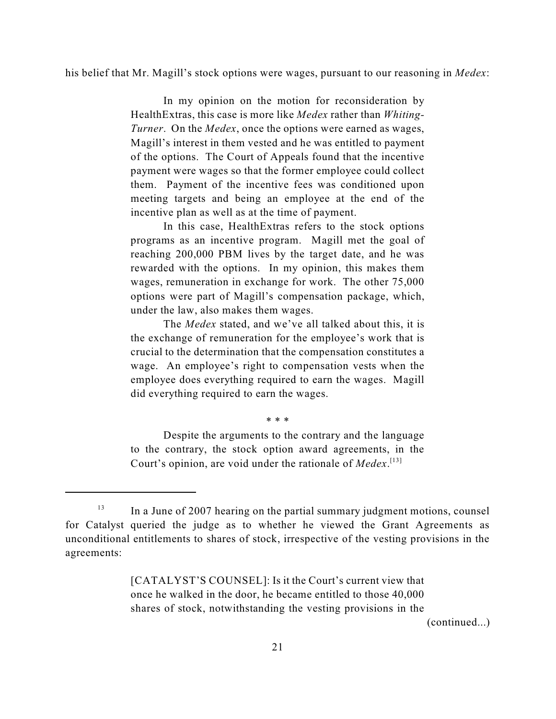his belief that Mr. Magill's stock options were wages, pursuant to our reasoning in *Medex*:

In my opinion on the motion for reconsideration by HealthExtras, this case is more like *Medex* rather than *Whiting-Turner*. On the *Medex*, once the options were earned as wages, Magill's interest in them vested and he was entitled to payment of the options. The Court of Appeals found that the incentive payment were wages so that the former employee could collect them. Payment of the incentive fees was conditioned upon meeting targets and being an employee at the end of the incentive plan as well as at the time of payment.

In this case, HealthExtras refers to the stock options programs as an incentive program. Magill met the goal of reaching 200,000 PBM lives by the target date, and he was rewarded with the options. In my opinion, this makes them wages, remuneration in exchange for work. The other 75,000 options were part of Magill's compensation package, which, under the law, also makes them wages.

The *Medex* stated, and we've all talked about this, it is the exchange of remuneration for the employee's work that is crucial to the determination that the compensation constitutes a wage. An employee's right to compensation vests when the employee does everything required to earn the wages. Magill did everything required to earn the wages.

\* \* \*

Despite the arguments to the contrary and the language to the contrary, the stock option award agreements, in the Court's opinion, are void under the rationale of *Medex*. [13]

[CATALYST'S COUNSEL]: Is it the Court's current view that once he walked in the door, he became entitled to those 40,000 shares of stock, notwithstanding the vesting provisions in the

In a June of 2007 hearing on the partial summary judgment motions, counsel 13 for Catalyst queried the judge as to whether he viewed the Grant Agreements as unconditional entitlements to shares of stock, irrespective of the vesting provisions in the agreements: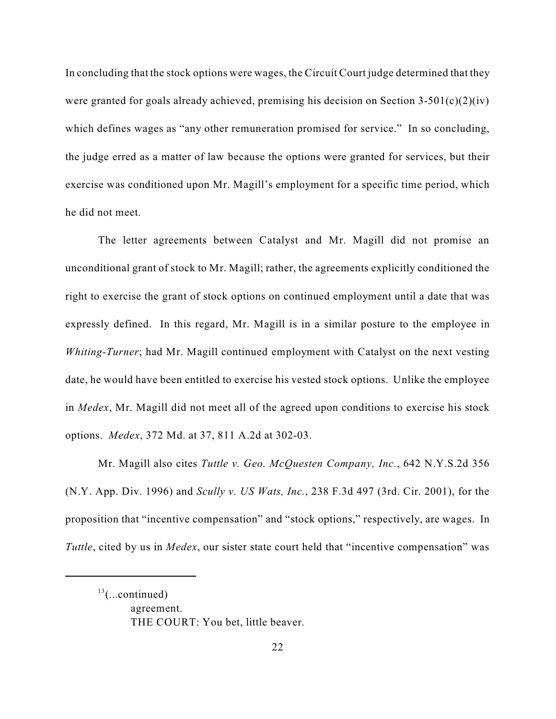In concluding that the stock options were wages, the Circuit Court judge determined that they were granted for goals already achieved, premising his decision on Section  $3-501(c)(2)(iv)$ which defines wages as "any other remuneration promised for service." In so concluding, the judge erred as a matter of law because the options were granted for services, but their exercise was conditioned upon Mr. Magill's employment for a specific time period, which he did not meet.

The letter agreements between Catalyst and Mr. Magill did not promise an unconditional grant of stock to Mr. Magill; rather, the agreements explicitly conditioned the right to exercise the grant of stock options on continued employment until a date that was expressly defined. In this regard, Mr. Magill is in a similar posture to the employee in *Whiting-Turner*; had Mr. Magill continued employment with Catalyst on the next vesting date, he would have been entitled to exercise his vested stock options. Unlike the employee in *Medex*, Mr. Magill did not meet all of the agreed upon conditions to exercise his stock options. *Medex*, 372 Md. at 37, 811 A.2d at 302-03.

Mr. Magill also cites *Tuttle v. Geo. McQuesten Company, Inc.*, 642 N.Y.S.2d 356 (N.Y. App. Div. 1996) and *Scully v. US Wats, Inc.*, 238 F.3d 497 (3rd. Cir. 2001), for the proposition that "incentive compensation" and "stock options," respectively, are wages. In *Tuttle*, cited by us in *Medex*, our sister state court held that "incentive compensation" was

 $13$ (...continued)

agreement. THE COURT: You bet, little beaver.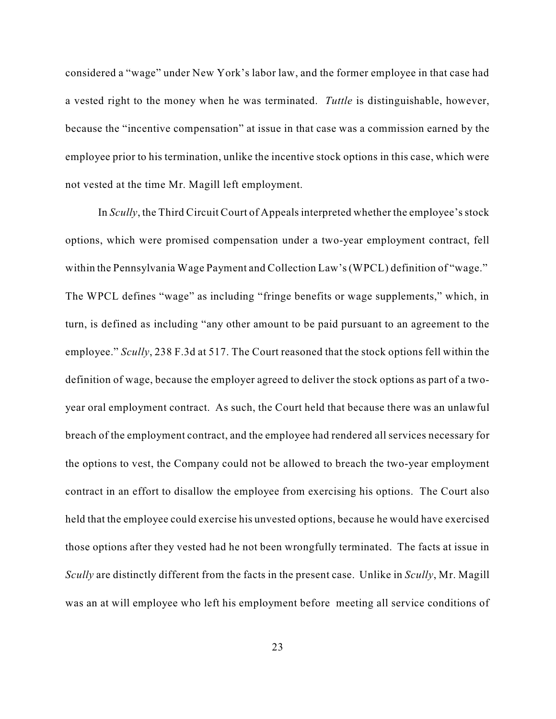considered a "wage" under New York's labor law, and the former employee in that case had a vested right to the money when he was terminated. *Tuttle* is distinguishable, however, because the "incentive compensation" at issue in that case was a commission earned by the employee prior to his termination, unlike the incentive stock options in this case, which were not vested at the time Mr. Magill left employment.

In *Scully*, the Third Circuit Court of Appeals interpreted whether the employee's stock options, which were promised compensation under a two-year employment contract, fell within the Pennsylvania Wage Payment and Collection Law's(WPCL) definition of "wage." The WPCL defines "wage" as including "fringe benefits or wage supplements," which, in turn, is defined as including "any other amount to be paid pursuant to an agreement to the employee." *Scully*, 238 F.3d at 517. The Court reasoned that the stock options fell within the definition of wage, because the employer agreed to deliver the stock options as part of a twoyear oral employment contract. As such, the Court held that because there was an unlawful breach of the employment contract, and the employee had rendered all services necessary for the options to vest, the Company could not be allowed to breach the two-year employment contract in an effort to disallow the employee from exercising his options. The Court also held that the employee could exercise his unvested options, because he would have exercised those options after they vested had he not been wrongfully terminated. The facts at issue in *Scully* are distinctly different from the facts in the present case. Unlike in *Scully*, Mr. Magill was an at will employee who left his employment before meeting all service conditions of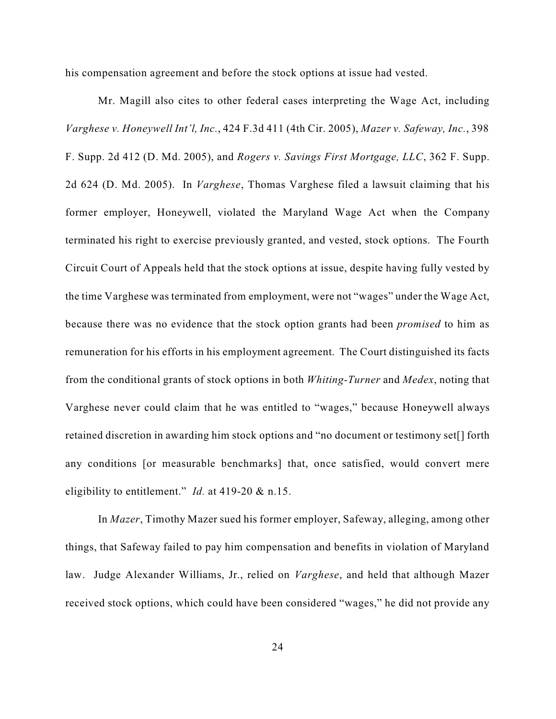his compensation agreement and before the stock options at issue had vested.

Mr. Magill also cites to other federal cases interpreting the Wage Act, including *Varghese v. Honeywell Int'l, Inc.*, 424 F.3d 411 (4th Cir. 2005), *Mazer v. Safeway, Inc.*, 398 F. Supp. 2d 412 (D. Md. 2005), and *Rogers v. Savings First Mortgage, LLC*, 362 F. Supp. 2d 624 (D. Md. 2005). In *Varghese*, Thomas Varghese filed a lawsuit claiming that his former employer, Honeywell, violated the Maryland Wage Act when the Company terminated his right to exercise previously granted, and vested, stock options. The Fourth Circuit Court of Appeals held that the stock options at issue, despite having fully vested by the time Varghese was terminated from employment, were not "wages" under the Wage Act, because there was no evidence that the stock option grants had been *promised* to him as remuneration for his efforts in his employment agreement. The Court distinguished its facts from the conditional grants of stock options in both *Whiting-Turner* and *Medex*, noting that Varghese never could claim that he was entitled to "wages," because Honeywell always retained discretion in awarding him stock options and "no document or testimony set[] forth any conditions [or measurable benchmarks] that, once satisfied, would convert mere eligibility to entitlement." *Id.* at 419-20 & n.15.

In *Mazer*, Timothy Mazer sued his former employer, Safeway, alleging, among other things, that Safeway failed to pay him compensation and benefits in violation of Maryland law. Judge Alexander Williams, Jr., relied on *Varghese*, and held that although Mazer received stock options, which could have been considered "wages," he did not provide any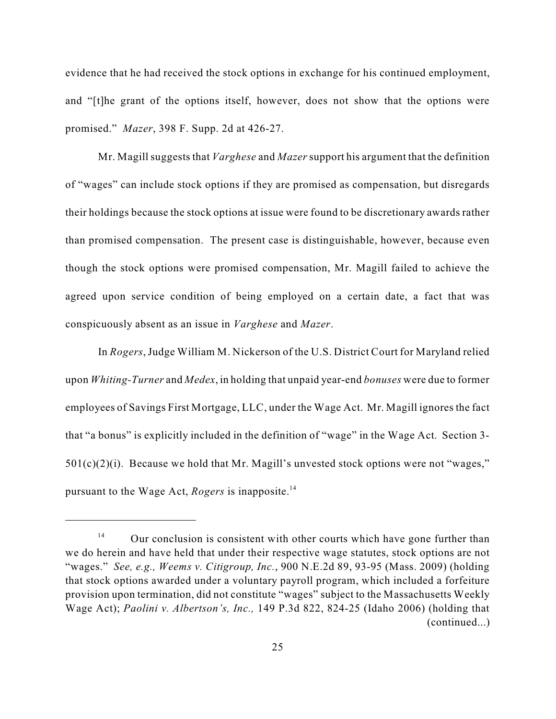evidence that he had received the stock options in exchange for his continued employment, and "[t]he grant of the options itself, however, does not show that the options were promised." *Mazer*, 398 F. Supp. 2d at 426-27.

Mr. Magill suggests that *Varghese* and *Mazer* support his argument that the definition of "wages" can include stock options if they are promised as compensation, but disregards their holdings because the stock options at issue were found to be discretionary awards rather than promised compensation. The present case is distinguishable, however, because even though the stock options were promised compensation, Mr. Magill failed to achieve the agreed upon service condition of being employed on a certain date, a fact that was conspicuously absent as an issue in *Varghese* and *Mazer*.

In *Rogers*,Judge William M. Nickerson of the U.S. District Court for Maryland relied upon *Whiting-Turner* and *Medex*, in holding that unpaid year-end *bonuses* were due to former employees of Savings First Mortgage, LLC, under the Wage Act. Mr. Magill ignores the fact that "a bonus" is explicitly included in the definition of "wage" in the Wage Act. Section 3-  $501(c)(2)(i)$ . Because we hold that Mr. Magill's unvested stock options were not "wages," pursuant to the Wage Act, *Rogers* is inapposite. 14

Our conclusion is consistent with other courts which have gone further than 14 we do herein and have held that under their respective wage statutes, stock options are not "wages." *See, e.g., Weems v. Citigroup, Inc.*, 900 N.E.2d 89, 93-95 (Mass. 2009) (holding that stock options awarded under a voluntary payroll program, which included a forfeiture provision upon termination, did not constitute "wages" subject to the Massachusetts Weekly Wage Act); *Paolini v. Albertson's, Inc.,* 149 P.3d 822, 824-25 (Idaho 2006) (holding that (continued...)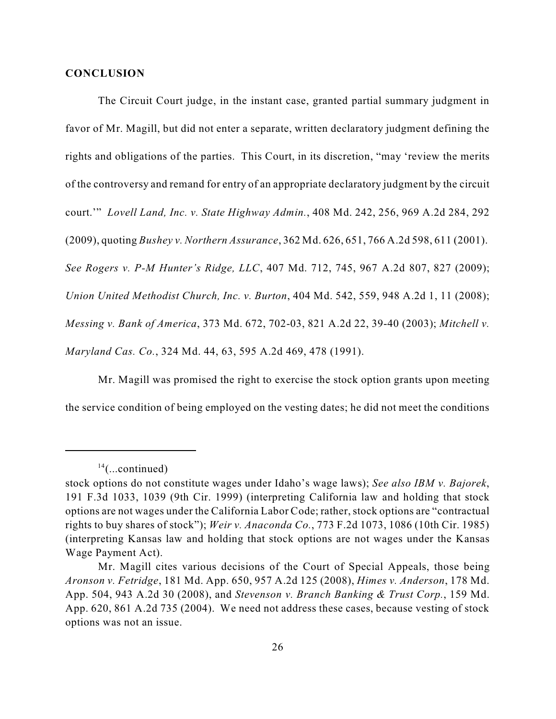#### **CONCLUSION**

The Circuit Court judge, in the instant case, granted partial summary judgment in favor of Mr. Magill, but did not enter a separate, written declaratory judgment defining the rights and obligations of the parties. This Court, in its discretion, "may 'review the merits of the controversy and remand for entry of an appropriate declaratory judgment by the circuit court.'" *Lovell Land, Inc. v. State Highway Admin.*, 408 Md. 242, 256, 969 A.2d 284, 292 (2009), quoting *Bushey v. Northern Assurance*, 362 Md. 626, 651, 766 A.2d 598, 611 (2001). *See Rogers v. P-M Hunter's Ridge, LLC*, 407 Md. 712, 745, 967 A.2d 807, 827 (2009); *Union United Methodist Church, Inc. v. Burton*, 404 Md. 542, 559, 948 A.2d 1, 11 (2008); *Messing v. Bank of America*, 373 Md. 672, 702-03, 821 A.2d 22, 39-40 (2003); *Mitchell v. Maryland Cas. Co.*, 324 Md. 44, 63, 595 A.2d 469, 478 (1991).

Mr. Magill was promised the right to exercise the stock option grants upon meeting the service condition of being employed on the vesting dates; he did not meet the conditions

 $14$ (...continued)

stock options do not constitute wages under Idaho's wage laws); *See also IBM v. Bajorek*, 191 F.3d 1033, 1039 (9th Cir. 1999) (interpreting California law and holding that stock options are not wages under the California Labor Code; rather, stock options are "contractual rights to buy shares of stock"); *Weir v. Anaconda Co.*, 773 F.2d 1073, 1086 (10th Cir. 1985) (interpreting Kansas law and holding that stock options are not wages under the Kansas Wage Payment Act).

Mr. Magill cites various decisions of the Court of Special Appeals, those being *Aronson v. Fetridge*, 181 Md. App. 650, 957 A.2d 125 (2008), *Himes v. Anderson*, 178 Md. App. 504, 943 A.2d 30 (2008), and *Stevenson v. Branch Banking & Trust Corp.*, 159 Md. App. 620, 861 A.2d 735 (2004). We need not address these cases, because vesting of stock options was not an issue.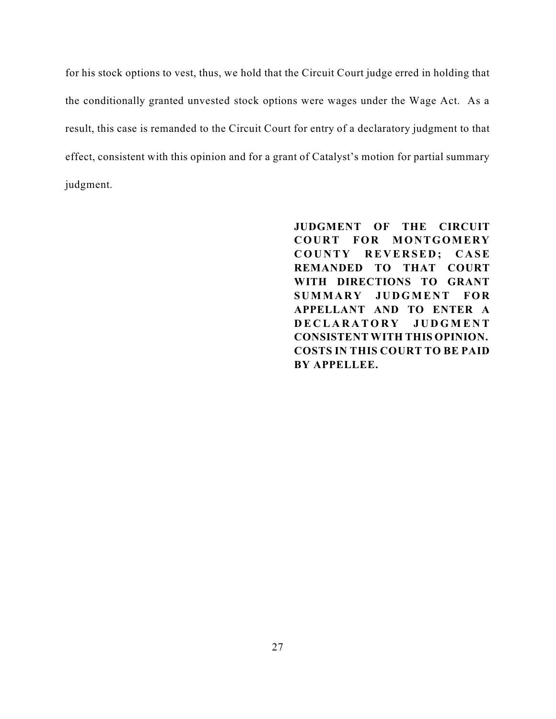for his stock options to vest, thus, we hold that the Circuit Court judge erred in holding that the conditionally granted unvested stock options were wages under the Wage Act. As a result, this case is remanded to the Circuit Court for entry of a declaratory judgment to that effect, consistent with this opinion and for a grant of Catalyst's motion for partial summary judgment.

> **JUDGMENT OF THE CIRCUIT COURT FOR MONTGOMERY**  $C$  **OUNTY REVERSED; CASE REMANDED TO THAT COURT WITH DIRECTIONS TO GRANT SUMMARY JU DGM EN T FOR APPELLANT AND TO ENTER A D E C L A R A T O R Y J U D G M E N T CONSISTENT WITH THIS OPINION. COSTS IN THIS COURT TO BE PAID BY APPELLEE.**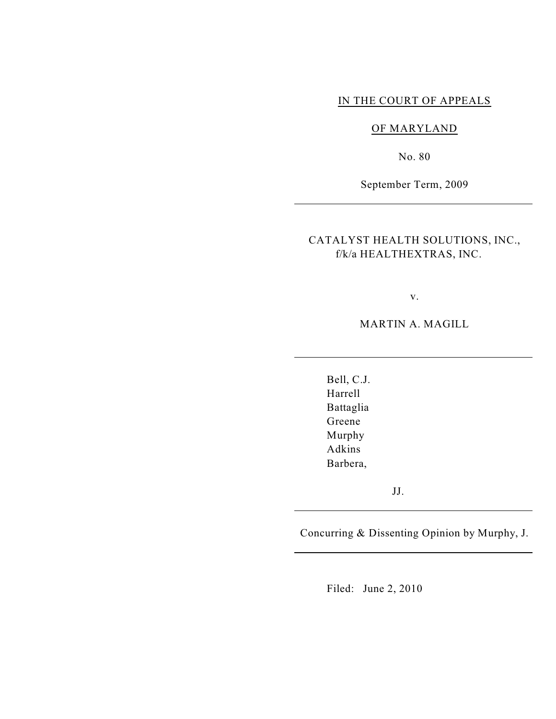### IN THE COURT OF APPEALS

#### OF MARYLAND

No. 80

September Term, 2009

CATALYST HEALTH SOLUTIONS, INC., f/k/a HEALTHEXTRAS, INC.

v.

MARTIN A. MAGILL

Bell, C.J. Harrell Battaglia Greene Murphy Adkins Barbera,

JJ.

Concurring & Dissenting Opinion by Murphy, J.

Filed: June 2, 2010